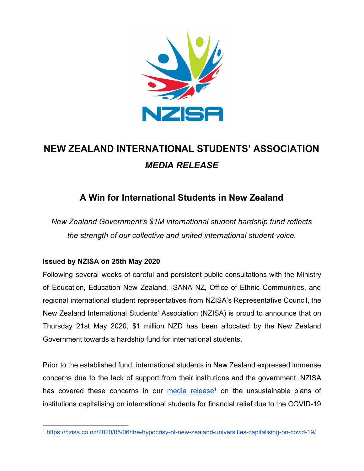

# **NEW ZEALAND INTERNATIONAL STUDENTS' ASSOCIATION** *MEDIA RELEASE*

## **A Win for International Students in New Zealand**

*New Zealand Government's \$1M international student hardship fund reflects the strength of our collective and united international student voice.*

### **Issued by NZISA on 25th May 2020**

Following several weeks of careful and persistent public consultations with the Ministry of Education, Education New Zealand, ISANA NZ, Office of Ethnic Communities, and regional international student representatives from NZISA's Representative Council, the New Zealand International Students' Association (NZISA) is proud to announce that on Thursday 21st May 2020, \$1 million NZD has been allocated by the New Zealand Government towards a hardship fund for international students.

Prior to the established fund, international students in New Zealand expressed immense concerns due to the lack of support from their institutions and the government. NZISA has covered these concerns in our media [release](https://nzisa.co.nz/2020/05/06/the-hypocrisy-of-new-zealand-universities-capitalising-on-covid-19/)<sup>1</sup> on the unsustainable plans of institutions capitalising on international students for financial relief due to the COVID-19

<sup>1</sup> <https://nzisa.co.nz/2020/05/06/the-hypocrisy-of-new-zealand-universities-capitalising-on-covid-19/>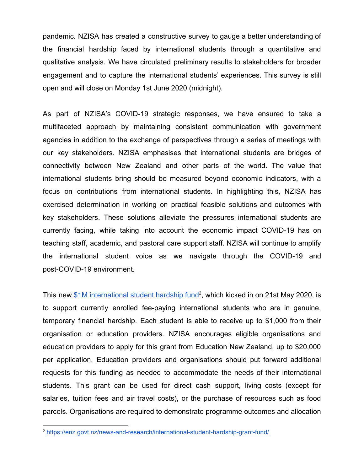pandemic. NZISA has created a constructive survey to gauge a better understanding of the financial hardship faced by international students through a quantitative and qualitative analysis. We have circulated preliminary results to stakeholders for broader engagement and to capture the international students' experiences. This survey is still open and will close on Monday 1st June 2020 (midnight).

As part of NZISA's COVID-19 strategic responses, we have ensured to take a multifaceted approach by maintaining consistent communication with government agencies in addition to the exchange of perspectives through a series of meetings with our key stakeholders. NZISA emphasises that international students are bridges of connectivity between New Zealand and other parts of the world. The value that international students bring should be measured beyond economic indicators, with a focus on contributions from international students. In highlighting this, NZISA has exercised determination in working on practical feasible solutions and outcomes with key stakeholders. These solutions alleviate the pressures international students are currently facing, while taking into account the economic impact COVID-19 has on teaching staff, academic, and pastoral care support staff. NZISA will continue to amplify the international student voice as we navigate through the COVID-19 and post-COVID-19 environment.

This new  $$1M$  [international](https://enz.govt.nz/news-and-research/international-student-hardship-grant-fund/) student hardship fund<sup>2</sup>, which kicked in on 21st May 2020, is to support currently enrolled fee-paying international students who are in genuine, temporary financial hardship. Each student is able to receive up to \$1,000 from their organisation or education providers. NZISA encourages eligible organisations and education providers to apply for this grant from Education New Zealand, up to \$20,000 per application. Education providers and organisations should put forward additional requests for this funding as needed to accommodate the needs of their international students. This grant can be used for direct cash support, living costs (except for salaries, tuition fees and air travel costs), or the purchase of resources such as food parcels. Organisations are required to demonstrate programme outcomes and allocation

<sup>2</sup> <https://enz.govt.nz/news-and-research/international-student-hardship-grant-fund/>